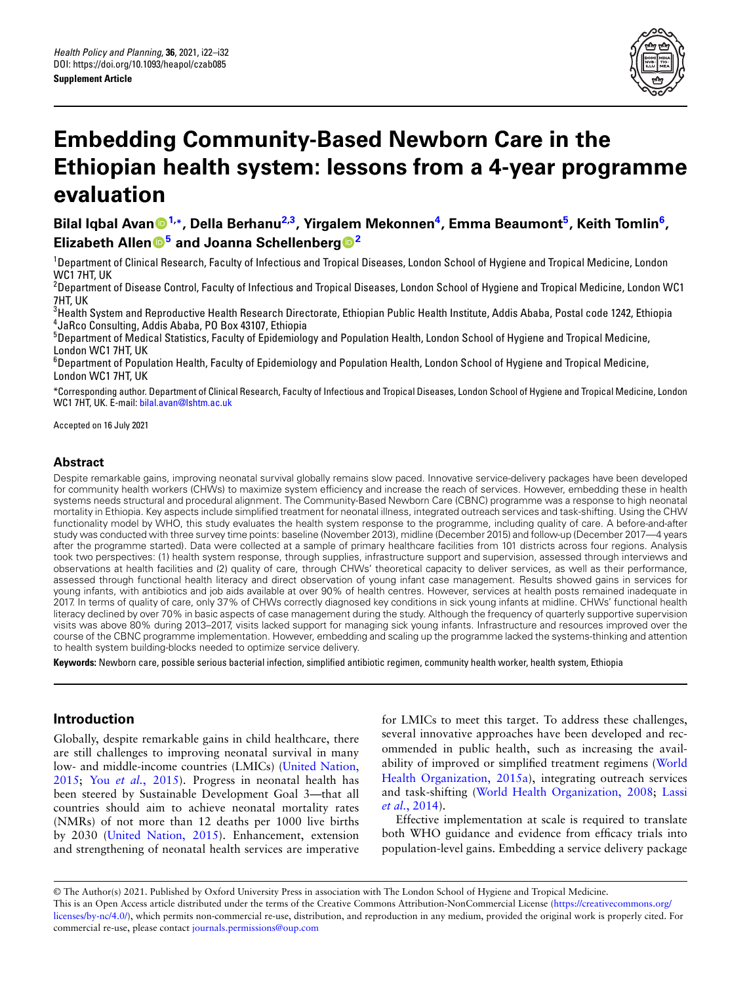

# **Embedding Community-Based Newborn Care in the Ethiopian health system: lessons from a 4-year programme evaluation**

**Bilal Iqbal Avan[1](#page-0-0),\*, Della Berhanu2,3 , Yirgal[em](https://orcid.org/0000-0002-0708-3676) Mekonnen<sup>4</sup> , Emma Beaumont<sup>5</sup> , Keith Tomlin<sup>6</sup> , Elizabeth Allen<sup>5</sup> and Joanna Schellenberg<sup>2</sup>**

<sup>1</sup>Department of Clinical Research, Faculty of Infectious and Tropical Diseases, London School of Hygiene and Tropical Medicine, London WC1 7HT, UK

<span id="page-0-1"></span> $^2$ Department of Disease Control, Faculty of Infectious and Tropical Diseases, London School of Hygiene and Tropical Medicine, London WC1 7HT, UK

 $^3$ Health System and Reproductive Health Research Directorate, Ethiopian Public Health Institute, Addis Ababa, Postal code 1242, Ethiopia 4 JaRco Consulting, Addis Ababa, PO Box 43107, Ethiopia

<span id="page-0-0"></span><sup>5</sup>Department of Medical Statistics, Faculty of Epidemiology and Population Health, London School of Hygiene and Tropical Medicine, London WC1 7HT, UK

<sup>6</sup>Department of Population Health, Faculty of Epidemiology and Population Health, London School of Hygiene and Tropical Medicine, London WC1 7HT, UK

\*Corresponding auth[or. Department of Clinica](mailto:bilal.avan@lshtm.ac.uk)l Research, Faculty of Infectious and Tropical Diseases, London School of Hygiene and Tropical Medicine, London WC1 7HT, UK. E-mail: bilal.avan@lshtm.ac.uk

Accepted on 16 July 2021

## **Abstract**

Despite remarkable gains, improving neonatal survival globally remains slow paced. Innovative service-delivery packages have been developed for community health workers (CHWs) to maximize system efficiency and increase the reach of services. However, embedding these in health systems needs structural and procedural alignment. The Community-Based Newborn Care (CBNC) programme was a response to high neonatal mortality in Ethiopia. Key aspects include simplified treatment for neonatal illness, integrated outreach services and task-shifting. Using the CHW functionality model by WHO, this study evaluates the health system response to the programme, including quality of care. A before-and-after study was conducted with three survey time points: baseline (November 2013), midline (December 2015) and follow-up (December 2017—4 years after the programme started). Data were collected at a sample of primary healthcare facilities from 101 districts across four regions. Analysis took two perspectives: (1) health system response, through supplies, infrastructure support and supervision, assessed through interviews and observations at health facilities and (2) quality of care, through CHWs' theoretical capacity to deliver services, as well as their performance, assessed through functional health literacy and direct observation of young infant case management. Results showed gains in services for young infants, with antibiotics and job aids available at over 90% of health centres. However, services at health posts remained inadequate in 2017. In terms of quality of care, only 37% of CHWs correctly diagnosed key conditions in sick young infants at midline. CHWs' functional health literacy declined by over 70% in basic aspects of case management during the study. Although the frequency of quarterly supportive supervision visits was above 80% during 2013–2017, visits lacked support for managing sick young infants. Infrastructure and resources improved over the course of the CBNC programme implementation. However, embedding and scaling up the programme lacked the systems-thinking and attention to health system building-blocks needed to optimize service delivery.

**Keywords:** Newborn care, possible serious bacterial infection, simplified antibiotic regimen, community health worker, health system, Ethiopia

# **Introduction**

Globally, despite remarkable gains in child healthcare, there are still challenges to improving neonatal s[urvival in many](#page-10-0) [low-](#page-10-0) a[nd middle-income](#page-10-1) countries (LMICs) (United Nation, 2015; You *et al.*, 2015). Progress in neonatal health has been steered by Sustainable Development Goal 3—that all countries should aim to achieve neonatal mortality rates (NMRs) [of not more than 12 d](#page-10-0)eaths per 1000 live births by 2030 (United Nation, 2015). Enhancement, extension and strengthening of neonatal health services are imperative for LMICs to meet this target. To address these challenges, several innovative approaches have been developed and recommended in public health, such as increasing the [avail](#page-10-2)[ability of improved or simpli](#page-10-2)fied treatment regimens (World Health Organizati[on, 2015a\), integrating outreach s](#page-10-3)e[rvices](#page-10-4) [and task-sh](#page-10-4)ifting (World Health Organization, 2008; Lassi *et al.*, 2014).

Effective implementation at scale is required to translate both WHO guidance and evidence from efficacy trials into population-level gains. Embedding a service delivery package

© The Author(s) 2021. Published by Oxford University Press in association with The London School of Hygiene and Trop[ical Medicine.](https://creativecommons.org/licenses/by-nc/4.0/) [This is an Open A](https://creativecommons.org/licenses/by-nc/4.0/)ccess article distributed under the terms of the Creative Commons Attribution-NonCommercial License (https://creativecommons.org/ licenses/by-nc/4.0/), which permit[s non-commercial re-use, distrib](https://journals.permissions@oup.com)ution, and reproduction in any medium, provided the original work is properly cited. For commercial re-use, please contact journals.permissions@oup.com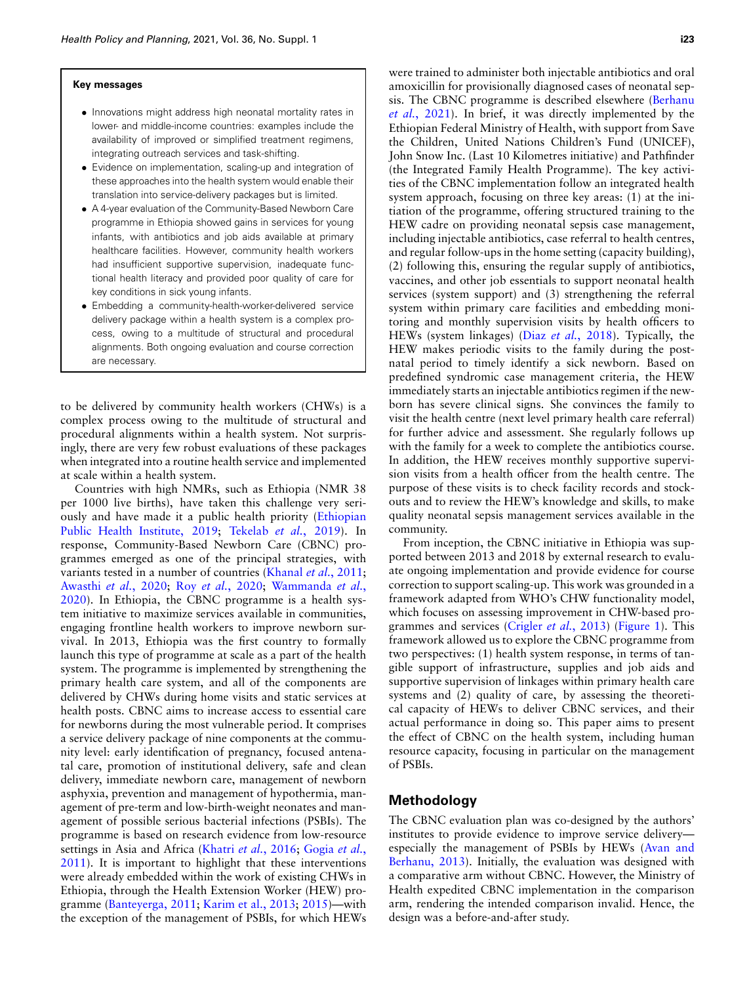#### **Key messages**

- *•* Innovations might address high neonatal mortality rates in lower- and middle-income countries: examples include the availability of improved or simplified treatment regimens, integrating outreach services and task-shifting.
- *•* Evidence on implementation, scaling-up and integration of these approaches into the health system would enable their translation into service-delivery packages but is limited.
- *•* A 4-year evaluation of the Community-Based Newborn Care programme in Ethiopia showed gains in services for young infants, with antibiotics and job aids available at primary healthcare facilities. However, community health workers had insufficient supportive supervision, inadequate functional health literacy and provided poor quality of care for key conditions in sick young infants.
- *•* Embedding a community-health-worker-delivered service delivery package within a health system is a complex process, owing to a multitude of structural and procedural alignments. Both ongoing evaluation and course correction are necessary.

to be delivered by community health workers (CHWs) is a complex process owing to the multitude of structural and procedural alignments within a health system. Not surprisingly, there are very few robust evaluations of these packages when integrated into a routine health service and implemented at scale within a health system.

Countries with high NMRs, such as Ethiopia (NMR 38 per 1000 live births), have taken this challenge [very seri](#page-9-0)[ously and have made it a pub](#page-9-0)li[c health priority \(Ethio](#page-10-5)pian Public Health Institute, 2019; Tekelab *et al.*, 2019). In response, Community-Based Newborn Care (CBNC) programmes emerged as one of the princi[pal strategies, with](#page-10-6) [variants tested in a nu](#page-9-1)[mber of countries](#page-10-7) (Khanal *et al.*[, 2011;](#page-10-8) [Awas](#page-10-8)thi *et al.*, 2020; Roy *et al.*, 2020; Wammanda *et al.*, 2020). In Ethiopia, the CBNC programme is a health system initiative to maximize services available in communities, engaging frontline health workers to improve newborn survival. In 2013, Ethiopia was the first country to formally launch this type of programme at scale as a part of the health system. The programme is implemented by strengthening the primary health care system, and all of the components are delivered by CHWs during home visits and static services at health posts. CBNC aims to increase access to essential care for newborns during the most vulnerable period. It comprises a service delivery package of nine components at the community level: early identification of pregnancy, focused antenatal care, promotion of institutional delivery, safe and clean delivery, immediate newborn care, management of newborn asphyxia, prevention and management of hypothermia, management of pre-term and low-birth-weight neonates and management of possible serious bacterial infections (PSBIs). The programme is based on rese[arch evidence from](#page-10-9) [low-resource](#page-9-2) [settin](#page-9-2)gs in Asia and Africa (Khatri *et al.*, 2016; Gogia *et al.*, 2011). It is important to highlight that these interventions were already embedded within the work of existing CHWs in Ethiopia, [through the Heal](#page-9-3)t[h Extension Worke](#page-10-10)r [\(HEW](#page-10-11)) programme (Banteyerga, 2011; Karim et al., 2013; 2015)—with the exception of the management of PSBIs, for which HEWs

were trained to administer both injectable antibiotics and oral amoxicillin for provisionally diagnosed cases of neo[natal sep](#page-9-4)[sis. The CBN](#page-9-4)C programme is described elsewhere (Berhanu *et al.*, 2021). In brief, it was directly implemented by the Ethiopian Federal Ministry of Health, with support from Save the Children, United Nations Children's Fund (UNICEF), John Snow Inc. (Last 10 Kilometres initiative) and Pathfinder (the Integrated Family Health Programme). The key activities of the CBNC implementation follow an integrated health system approach, focusing on three key areas: (1) at the initiation of the programme, offering structured training to the HEW cadre on providing neonatal sepsis case management, including injectable antibiotics, case referral to health centres, and regular follow-ups in the home setting (capacity building), (2) following this, ensuring the regular supply of antibiotics, vaccines, and other job essentials to support neonatal health services (system support) and (3) strengthening the referral system within primary care facilities and embedding monitoring and monthly supe[rvision visits by h](#page-9-5)ealth officers to HEWs (system linkages) (Diaz *et al.*, 2018). Typically, the HEW makes periodic visits to the family during the postnatal period to timely identify a sick newborn. Based on predefined syndromic case management criteria, the HEW immediately starts an injectable antibiotics regimen if the newborn has severe clinical signs. She convinces the family to visit the health centre (next level primary health care referral) for further advice and assessment. She regularly follows up with the family for a week to complete the antibiotics course. In addition, the HEW receives monthly supportive supervision visits from a health officer from the health centre. The purpose of these visits is to check facility records and stockouts and to review the HEW's knowledge and skills, to make quality neonatal sepsis management services available in the community.

From inception, the CBNC initiative in Ethiopia was supported between 2013 and 2018 by external research to evaluate ongoing implementation and provide evidence for course correction to support scaling-up. This work was grounded in a framework adapted from WHO's CHW functionality model, which focuses on assess[ing improvement in](#page-9-6) C[HW-base](#page-2-0)d programmes and services (Crigler *et al.*, 2013) (Figure 1). This framework allowed us to explore the CBNC programme from two perspectives: (1) health system response, in terms of tangible support of infrastructure, supplies and job aids and supportive supervision of linkages within primary health care systems and (2) quality of care, by assessing the theoretical capacity of HEWs to deliver CBNC services, and their actual performance in doing so. This paper aims to present the effect of CBNC on the health system, including human resource capacity, focusing in particular on the management of PSBIs.

## **Methodology**

The CBNC evaluation plan was co-designed by the authors' institutes to provide evidence to improve service [delivery](#page-9-7) [especially the m](#page-9-7)anagement of PSBIs by HEWs (Avan and Berhanu, 2013). Initially, the evaluation was designed with a comparative arm without CBNC. However, the Ministry of Health expedited CBNC implementation in the comparison arm, rendering the intended comparison invalid. Hence, the design was a before-and-after study.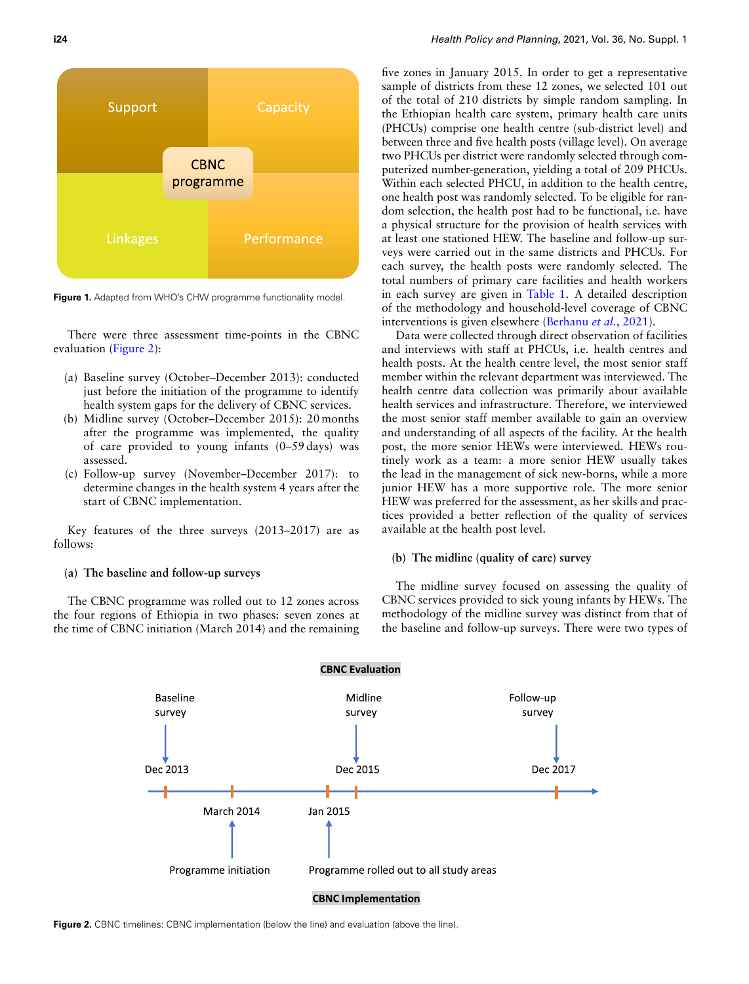<span id="page-2-0"></span>

**Figure 1.** Adapted from WHO's CHW programme functionality model.

There w[ere three](#page-2-1) assessment time-points in the CBNC evaluation (Figure 2):

- (a) Baseline survey (October–December 2013): conducted just before the initiation of the programme to identify health system gaps for the delivery of CBNC services.
- (b) Midline survey (October–December 2015): 20 months after the programme was implemented, the quality of care provided to young infants (0–59 days) was assessed.
- (c) Follow-up survey (November–December 2017): to determine changes in the health system 4 years after the start of CBNC implementation.

Key features of the three surveys (2013–2017) are as follows:

#### **(a) The baseline and follow-up surveys**

<span id="page-2-1"></span>The CBNC programme was rolled out to 12 zones across the four regions of Ethiopia in two phases: seven zones at the time of CBNC initiation (March 2014) and the remaining five zones in January 2015. In order to get a representative sample of districts from these 12 zones, we selected 101 out of the total of 210 districts by simple random sampling. In the Ethiopian health care system, primary health care units (PHCUs) comprise one health centre (sub-district level) and between three and five health posts (village level). On average two PHCUs per district were randomly selected through computerized number-generation, yielding a total of 209 PHCUs. Within each selected PHCU, in addition to the health centre, one health post was randomly selected. To be eligible for random selection, the health post had to be functional, i.e. have a physical structure for the provision of health services with at least one stationed HEW. The baseline and follow-up surveys were carried out in the same districts and PHCUs. For each survey, the health posts were randomly selected. The total numbers of primary care facilities and health workers in each survey are given in Table 1. A detailed description of the methodology and househ[old-level coverage of](#page-9-4) CBNC interventions is given elsewhere (Berhanu *et al.*, 2021).

Data were collected through direct observation of facilities and interviews with staff at PHCUs, i.e. health centres and health posts. At the health centre level, the most senior staff member within the relevant department was interviewed. The health centre data collection was primarily about available health services and infrastructure. Therefore, we interviewed the most senior staff member available to gain an overview and understanding of all aspects of the facility. At the health post, the more senior HEWs were interviewed. HEWs routinely work as a team: a more senior HEW usually takes the lead in the management of sick new-borns, while a more junior HEW has a more supportive role. The more senior HEW was preferred for the assessment, as her skills and practices provided a better reflection of the quality of services available at the health post level.

#### **(b) The midline (quality of care) survey**

The midline survey focused on assessing the quality of CBNC services provided to sick young infants by HEWs. The methodology of the midline survey was distinct from that of the baseline and follow-up surveys. There were two types of



**Figure 2.** CBNC timelines: CBNC implementation (below the line) and evaluation (above the line).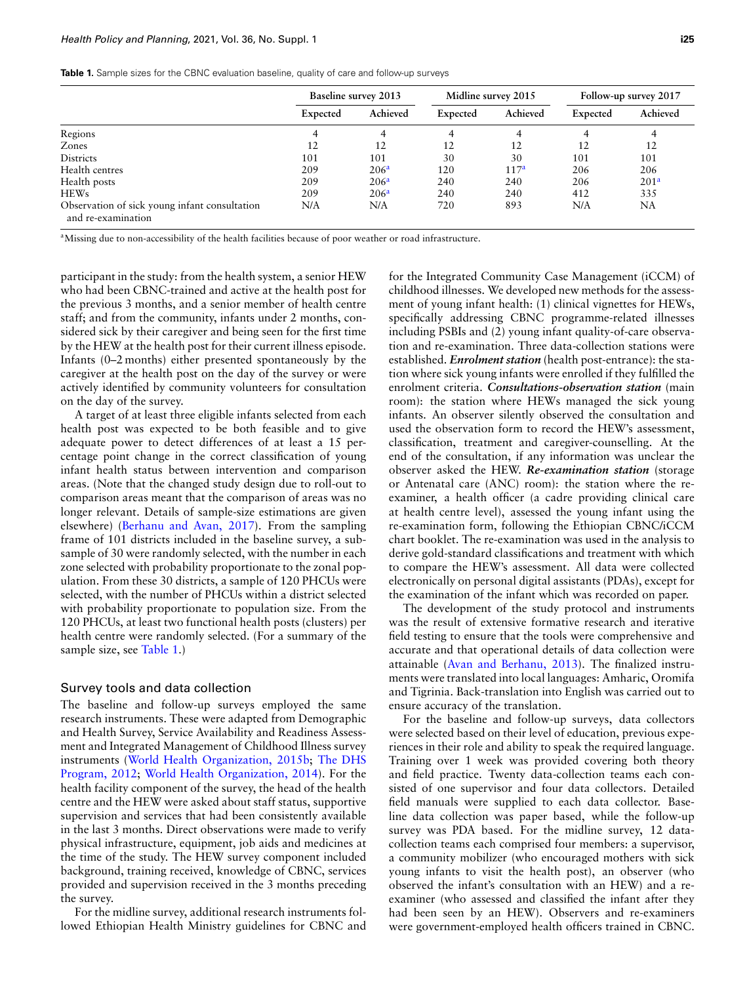|  |  |  | Table 1. Sample sizes for the CBNC evaluation baseline, quality of care and follow-up surveys |  |  |  |  |  |  |
|--|--|--|-----------------------------------------------------------------------------------------------|--|--|--|--|--|--|
|--|--|--|-----------------------------------------------------------------------------------------------|--|--|--|--|--|--|

|                                                                     | <b>Baseline survey 2013</b> |                  |          | Midline survey 2015 |          | Follow-up survey 2017 |
|---------------------------------------------------------------------|-----------------------------|------------------|----------|---------------------|----------|-----------------------|
|                                                                     | Expected                    | Achieved         | Expected | Achieved            | Expected | Achieved              |
| Regions                                                             | 4                           | 4                | 4        | 4                   | 4        | 4                     |
| Zones                                                               | 12                          | 12               | 12       | 12                  | 12       | 12                    |
| <b>Districts</b>                                                    | 101                         | 101              | 30       | 30                  | 101      | 101                   |
| Health centres                                                      | 209                         | 206 <sup>a</sup> | 120      | 117 <sup>a</sup>    | 206      | 206                   |
| Health posts                                                        | 209                         | 206 <sup>a</sup> | 240      | 240                 | 206      | 201 <sup>a</sup>      |
| <b>HEWs</b>                                                         | 209                         | 206 <sup>a</sup> | 240      | 240                 | 412      | 335                   |
| Observation of sick young infant consultation<br>and re-examination | N/A                         | N/A              | 720      | 893                 | N/A      | NA                    |

<span id="page-3-0"></span><sup>a</sup>Missing due to non-accessibility of the health facilities because of poor weather or road infrastructure.

participant in the study: from the health system, a senior HEW who had been CBNC-trained and active at the health post for the previous 3 months, and a senior member of health centre staff; and from the community, infants under 2 months, considered sick by their caregiver and being seen for the first time by the HEW at the health post for their current illness episode. Infants (0–2 months) either presented spontaneously by the caregiver at the health post on the day of the survey or were actively identified by community volunteers for consultation on the day of the survey.

A target of at least three eligible infants selected from each health post was expected to be both feasible and to give adequate power to detect differences of at least a 15 percentage point change in the correct classification of young infant health status between intervention and comparison areas. (Note that the changed study design due to roll-out to comparison areas meant that the comparison of areas was no longer relev[ant. Details of sample-size](#page-9-8) estimations are given elsewhere) (Berhanu and Avan, 2017). From the sampling frame of 101 districts included in the baseline survey, a subsample of 30 were randomly selected, with the number in each zone selected with probability proportionate to the zonal population. From these 30 districts, a sample of 120 PHCUs were selected, with the number of PHCUs within a district selected with probability proportionate to population size. From the 120 PHCUs, at least two functional health posts (clusters) per health centre were randomly selected. (For a summary of the sample size, see Table 1.)

#### Survey tools and data collection

The baseline and follow-up surveys employed the same research instruments. These were adapted from Demographic and Health Survey, Service Availability and Readiness Assessment and Int[egrated Management of Childhood Ill](#page-10-12)n[ess survey](#page-9-9) [instruments \(W](#page-9-9)[orld Health Organization, 2015b;](#page-10-13) The DHS Program, 2012; World Health Organization, 2014). For the health facility component of the survey, the head of the health centre and the HEW were asked about staff status, supportive supervision and services that had been consistently available in the last 3 months. Direct observations were made to verify physical infrastructure, equipment, job aids and medicines at the time of the study. The HEW survey component included background, training received, knowledge of CBNC, services provided and supervision received in the 3 months preceding the survey.

For the midline survey, additional research instruments followed Ethiopian Health Ministry guidelines for CBNC and

for the Integrated Community Case Management (iCCM) of childhood illnesses. We developed new methods for the assessment of young infant health: (1) clinical vignettes for HEWs, specifically addressing CBNC programme-related illnesses including PSBIs and (2) young infant quality-of-care observation and re-examination. Three data-collection stations were established. *Enrolment station* (health post-entrance): the station where sick young infants were enrolled if they fulfilled the enrolment criteria. *Consultations-observation station* (main room): the station where HEWs managed the sick young infants. An observer silently observed the consultation and used the observation form to record the HEW's assessment, classification, treatment and caregiver-counselling. At the end of the consultation, if any information was unclear the observer asked the HEW. *Re-examination station* (storage or Antenatal care (ANC) room): the station where the reexaminer, a health officer (a cadre providing clinical care at health centre level), assessed the young infant using the re-examination form, following the Ethiopian CBNC/iCCM chart booklet. The re-examination was used in the analysis to derive gold-standard classifications and treatment with which to compare the HEW's assessment. All data were collected electronically on personal digital assistants (PDAs), except for the examination of the infant which was recorded on paper.

The development of the study protocol and instruments was the result of extensive formative research and iterative field testing to ensure that the tools were comprehensive and accurate an[d that operational details](#page-9-7) of data collection were attainable (Avan and Berhanu, 2013). The finalized instruments were translated into local languages: Amharic, Oromifa and Tigrinia. Back-translation into English was carried out to ensure accuracy of the translation.

For the baseline and follow-up surveys, data collectors were selected based on their level of education, previous experiences in their role and ability to speak the required language. Training over 1 week was provided covering both theory and field practice. Twenty data-collection teams each consisted of one supervisor and four data collectors. Detailed field manuals were supplied to each data collector. Baseline data collection was paper based, while the follow-up survey was PDA based. For the midline survey, 12 datacollection teams each comprised four members: a supervisor, a community mobilizer (who encouraged mothers with sick young infants to visit the health post), an observer (who observed the infant's consultation with an HEW) and a reexaminer (who assessed and classified the infant after they had been seen by an HEW). Observers and re-examiners were government-employed health officers trained in CBNC.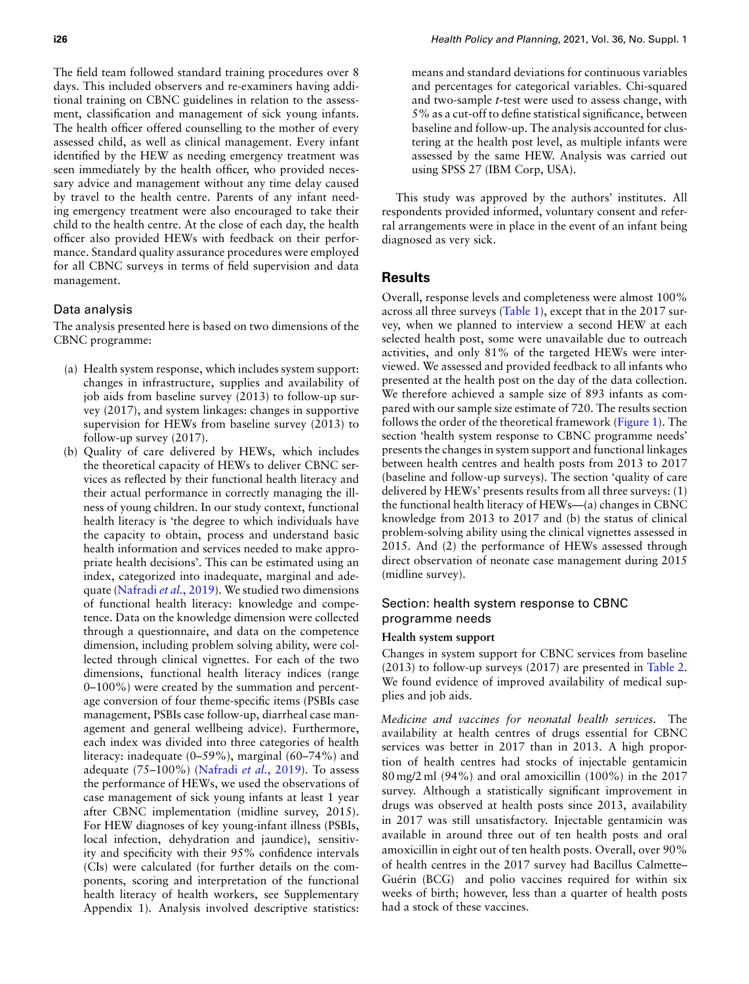The field team followed standard training procedures over 8 days. This included observers and re-examiners having additional training on CBNC guidelines in relation to the assessment, classification and management of sick young infants. The health officer offered counselling to the mother of every assessed child, as well as clinical management. Every infant identified by the HEW as needing emergency treatment was seen immediately by the health officer, who provided necessary advice and management without any time delay caused by travel to the health centre. Parents of any infant needing emergency treatment were also encouraged to take their child to the health centre. At the close of each day, the health officer also provided HEWs with feedback on their performance. Standard quality assurance procedures were employed for all CBNC surveys in terms of field supervision and data management.

## Data analysis

The analysis presented here is based on two dimensions of the CBNC programme:

- (a) Health system response, which includes system support: changes in infrastructure, supplies and availability of job aids from baseline survey (2013) to follow-up survey (2017), and system linkages: changes in supportive supervision for HEWs from baseline survey (2013) to follow-up survey (2017).
- (b) Quality of care delivered by HEWs, which includes the theoretical capacity of HEWs to deliver CBNC services as reflected by their functional health literacy and their actual performance in correctly managing the illness of young children. In our study context, functional health literacy is 'the degree to which individuals have the capacity to obtain, process and understand basic health information and services needed to make appropriate health decisions'. This can be estimated using an index, [categorized into ina](#page-10-14)dequate, marginal and adequate (Nafradi *et al.*, 2019). We studied two dimensions of functional health literacy: knowledge and competence. Data on the knowledge dimension were collected through a questionnaire, and data on the competence dimension, including problem solving ability, were collected through clinical vignettes. For each of the two dimensions, functional health literacy indices (range 0–100%) were created by the summation and percentage conversion of four theme-specific items (PSBIs case management, PSBIs case follow-up, diarrheal case management and general wellbeing advice). Furthermore, each index was divided into three categories of health literacy: inadequate (0[–59%\), marginal \(60](#page-10-14)–74%) and adequate (75–100%) (Nafradi *et al.*, 2019). To assess the performance of HEWs, we used the observations of case management of sick young infants at least 1 year after CBNC implementation (midline survey, 2015). For HEW diagnoses of key young-infant illness (PSBIs, local infection, dehydration and jaundice), sensitivity and specificity with their 95% confidence intervals (CIs) were calculated (for further details on the components, scoring and interpretation of the functional health literacy of health workers, see Supplementary Appendix 1). Analysis involved descriptive statistics:

means and standard deviations for continuous variables and percentages for categorical variables. Chi-squared and two-sample *t*-test were used to assess change, with 5% as a cut-off to define statistical significance, between baseline and follow-up. The analysis accounted for clustering at the health post level, as multiple infants were assessed by the same HEW. Analysis was carried out using SPSS 27 (IBM Corp, USA).

This study was approved by the authors' institutes. All respondents provided informed, voluntary consent and referral arrangements were in place in the event of an infant being diagnosed as very sick.

## **Results**

Overall, response levels and completeness were almost 100% across all three surveys (Table 1), except that in the 2017 survey, when we planned to interview a second HEW at each selected health post, some were unavailable due to outreach activities, and only 81% of the targeted HEWs were interviewed. We assessed and provided feedback to all infants who presented at the health post on the day of the data collection. We therefore achieved a sample size of 893 infants as compared with our sample size estimate of 720. The [results se](#page-2-0)ction follows the order of the theoretical framework (Figure 1). The section 'health system response to CBNC programme needs' presents the changes in system support and functional linkages between health centres and health posts from 2013 to 2017 (baseline and follow-up surveys). The section 'quality of care delivered by HEWs' presents results from all three surveys: (1) the functional health literacy of HEWs—(a) changes in CBNC knowledge from 2013 to 2017 and (b) the status of clinical problem-solving ability using the clinical vignettes assessed in 2015. And (2) the performance of HEWs assessed through direct observation of neonate case management during 2015 (midline survey).

# Section: health system response to CBNC programme needs

#### **Health system support**

Changes in system support for CBNC services from baseline (2013) to follow-up surveys (2017) are presented in Table 2. We found evidence of improved availability of medical supplies and job aids.

*Medicine and vaccines for neonatal health services.* The availability at health centres of drugs essential for CBNC services was better in 2017 than in 2013. A high proportion of health centres had stocks of injectable gentamicin 80 mg/2 ml (94%) and oral amoxicillin (100%) in the 2017 survey. Although a statistically significant improvement in drugs was observed at health posts since 2013, availability in 2017 was still unsatisfactory. Injectable gentamicin was available in around three out of ten health posts and oral amoxicillin in eight out of ten health posts. Overall, over 90% of health centres in the 2017 survey had Bacillus Calmette– Guérin (BCG) and polio vaccines required for within six weeks of birth; however, less than a quarter of health posts had a stock of these vaccines.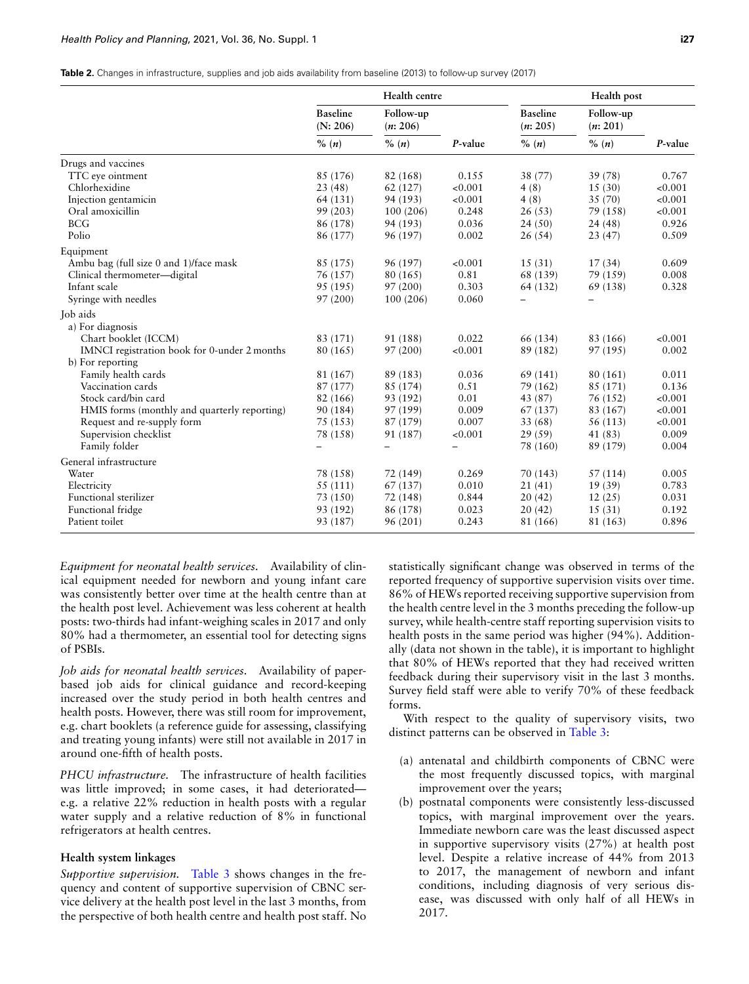| <b>Table 2.</b> Changes in infrastructure, supplies and job aids availability from baseline (2013) to follow-up survey (2017) |  |  |  |  |
|-------------------------------------------------------------------------------------------------------------------------------|--|--|--|--|
|-------------------------------------------------------------------------------------------------------------------------------|--|--|--|--|

|                                              |                             | Health centre         |         |                             | Health post           |         |
|----------------------------------------------|-----------------------------|-----------------------|---------|-----------------------------|-----------------------|---------|
|                                              | <b>Baseline</b><br>(N: 206) | Follow-up<br>(n: 206) |         | <b>Baseline</b><br>(n: 205) | Follow-up<br>(n: 201) |         |
|                                              | % (n)                       | $\%$ $(n)$            | P-value | % (n)                       | $\%$ $(n)$            | P-value |
| Drugs and vaccines                           |                             |                       |         |                             |                       |         |
| TTC eye ointment                             | 85 (176)                    | 82 (168)              | 0.155   | 38 (77)                     | 39 (78)               | 0.767   |
| Chlorhexidine                                | 23(48)                      | 62(127)               | < 0.001 | 4(8)                        | 15(30)                | < 0.001 |
| Injection gentamicin                         | 64 (131)                    | 94 (193)              | < 0.001 | 4(8)                        | 35 (70)               | < 0.001 |
| Oral amoxicillin                             | 99 (203)                    | 100(206)              | 0.248   | 26(53)                      | 79 (158)              | < 0.001 |
| <b>BCG</b>                                   | 86 (178)                    | 94 (193)              | 0.036   | 24(50)                      | 24(48)                | 0.926   |
| Polio                                        | 86 (177)                    | 96 (197)              | 0.002   | 26(54)                      | 23(47)                | 0.509   |
| Equipment                                    |                             |                       |         |                             |                       |         |
| Ambu bag (full size 0 and 1)/face mask       | 85 (175)                    | 96 (197)              | < 0.001 | 15(31)                      | 17(34)                | 0.609   |
| Clinical thermometer-digital                 | 76 (157)                    | 80 (165)              | 0.81    | 68 (139)                    | 79 (159)              | 0.008   |
| Infant scale                                 | 95 (195)                    | 97(200)               | 0.303   | 64 (132)                    | 69 (138)              | 0.328   |
| Syringe with needles                         | 97 (200)                    | 100 (206)             | 0.060   |                             |                       |         |
| Job aids                                     |                             |                       |         |                             |                       |         |
| a) For diagnosis                             |                             |                       |         |                             |                       |         |
| Chart booklet (ICCM)                         | 83 (171)                    | 91 (188)              | 0.022   | 66 (134)                    | 83 (166)              | < 0.001 |
| IMNCI registration book for 0-under 2 months | 80 (165)                    | 97(200)               | < 0.001 | 89 (182)                    | 97 (195)              | 0.002   |
| b) For reporting                             |                             |                       |         |                             |                       |         |
| Family health cards                          | 81 (167)                    | 89 (183)              | 0.036   | 69 (141)                    | 80 (161)              | 0.011   |
| Vaccination cards                            | 87 (177)                    | 85 (174)              | 0.51    | 79 (162)                    | 85 (171)              | 0.136   |
| Stock card/bin card                          | 82 (166)                    | 93 (192)              | 0.01    | 43 (87)                     | 76 (152)              | < 0.001 |
| HMIS forms (monthly and quarterly reporting) | 90 (184)                    | 97 (199)              | 0.009   | 67 (137)                    | 83 (167)              | < 0.001 |
| Request and re-supply form                   | 75 (153)                    | 87 (179)              | 0.007   | 33 (68)                     | 56 (113)              | < 0.001 |
| Supervision checklist                        | 78 (158)                    | 91 (187)              | < 0.001 | 29(59)                      | 41 (83)               | 0.009   |
| Family folder                                |                             |                       |         | 78 (160)                    | 89 (179)              | 0.004   |
| General infrastructure                       |                             |                       |         |                             |                       |         |
| Water                                        | 78 (158)                    | 72 (149)              | 0.269   | 70 (143)                    | 57(114)               | 0.005   |
| Electricity                                  | 55 (111)                    | 67 (137)              | 0.010   | 21(41)                      | 19(39)                | 0.783   |
| Functional sterilizer                        | 73 (150)                    | 72 (148)              | 0.844   | 20(42)                      | 12(25)                | 0.031   |
| Functional fridge                            | 93 (192)                    | 86 (178)              | 0.023   | 20(42)                      | 15(31)                | 0.192   |
| Patient toilet                               | 93 (187)                    | 96 (201)              | 0.243   | 81 (166)                    | 81 (163)              | 0.896   |

*Equipment for neonatal health services.* Availability of clinical equipment needed for newborn and young infant care was consistently better over time at the health centre than at the health post level. Achievement was less coherent at health posts: two-thirds had infant-weighing scales in 2017 and only 80% had a thermometer, an essential tool for detecting signs of PSBIs.

*Job aids for neonatal health services.* Availability of paperbased job aids for clinical guidance and record-keeping increased over the study period in both health centres and health posts. However, there was still room for improvement, e.g. chart booklets (a reference guide for assessing, classifying and treating young infants) were still not available in 2017 in around one-fifth of health posts.

*PHCU infrastructure.* The infrastructure of health facilities was little improved; in some cases, it had deteriorated e.g. a relative 22% reduction in health posts with a regular water supply and a relative reduction of 8% in functional refrigerators at health centres.

## **Health system linkages**

*Supportive supervision.* Table 3 shows changes in the frequency and content of supportive supervision of CBNC service delivery at the health post level in the last 3 months, from the perspective of both health centre and health post staff. No

statistically significant change was observed in terms of the reported frequency of supportive supervision visits over time. 86% of HEWs reported receiving supportive supervision from the health centre level in the 3 months preceding the follow-up survey, while health-centre staff reporting supervision visits to health posts in the same period was higher (94%). Additionally (data not shown in the table), it is important to highlight that 80% of HEWs reported that they had received written feedback during their supervisory visit in the last 3 months. Survey field staff were able to verify 70% of these feedback forms.

With respect to the quality of supervisory visits, two distinct patterns can be observed in Table 3:

- (a) antenatal and childbirth components of CBNC were the most frequently discussed topics, with marginal improvement over the years;
- (b) postnatal components were consistently less-discussed topics, with marginal improvement over the years. Immediate newborn care was the least discussed aspect in supportive supervisory visits (27%) at health post level. Despite a relative increase of 44% from 2013 to 2017, the management of newborn and infant conditions, including diagnosis of very serious disease, was discussed with only half of all HEWs in 2017.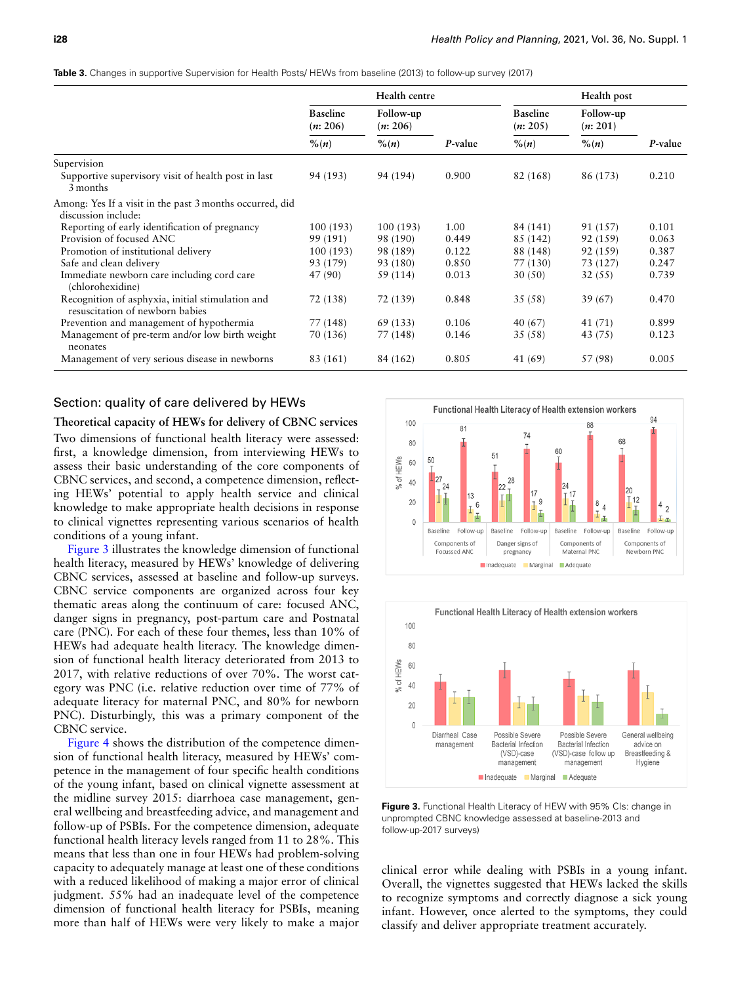|  |  |  |  | <b>Table 3.</b> Changes in supportive Supervision for Health Posts/ HEWs from baseline (2013) to follow-up survey (2017) |  |  |  |  |  |  |  |  |  |  |
|--|--|--|--|--------------------------------------------------------------------------------------------------------------------------|--|--|--|--|--|--|--|--|--|--|
|--|--|--|--|--------------------------------------------------------------------------------------------------------------------------|--|--|--|--|--|--|--|--|--|--|

|                                                                                     | Health centre<br>Health post |                       |         |                             |                       |         |
|-------------------------------------------------------------------------------------|------------------------------|-----------------------|---------|-----------------------------|-----------------------|---------|
|                                                                                     | <b>Baseline</b><br>(n: 206)  | Follow-up<br>(n: 206) |         | <b>Baseline</b><br>(n: 205) | Follow-up<br>(n: 201) |         |
|                                                                                     | $\frac{\%}{n}$               | $\frac{\%}{n}$        | P-value | $\frac{\%}{n}$              | $\frac{\%}{n}$        | P-value |
| Supervision                                                                         |                              |                       |         |                             |                       |         |
| Supportive supervisory visit of health post in last<br>3 months                     | 94 (193)                     | 94 (194)              | 0.900   | 82 (168)                    | 86 (173)              | 0.210   |
| Among: Yes If a visit in the past 3 months occurred, did<br>discussion include:     |                              |                       |         |                             |                       |         |
| Reporting of early identification of pregnancy                                      | 100(193)                     | 100(193)              | 1.00    | 84 (141)                    | 91 (157)              | 0.101   |
| Provision of focused ANC                                                            | 99 (191)                     | 98 (190)              | 0.449   | 85 (142)                    | 92 (159)              | 0.063   |
| Promotion of institutional delivery                                                 | 100(193)                     | 98 (189)              | 0.122   | 88 (148)                    | 92 (159)              | 0.387   |
| Safe and clean delivery                                                             | 93 (179)                     | 93 (180)              | 0.850   | 77 (130)                    | 73 (127)              | 0.247   |
| Immediate newborn care including cord care<br>(chlorohexidine)                      | 47 (90)                      | 59 (114)              | 0.013   | 30(50)                      | 32(55)                | 0.739   |
| Recognition of asphyxia, initial stimulation and<br>resuscitation of newborn babies | 72 (138)                     | 72 (139)              | 0.848   | 35 (58)                     | 39 (67)               | 0.470   |
| Prevention and management of hypothermia                                            | 77 (148)                     | 69 (133)              | 0.106   | 40 (67)                     | 41 (71)               | 0.899   |
| Management of pre-term and/or low birth weight<br>neonates                          | 70 (136)                     | 77 (148)              | 0.146   | 35 (58)                     | 43 (75)               | 0.123   |
| Management of very serious disease in newborns                                      | 83 (161)                     | 84 (162)              | 0.805   | 41 (69)                     | 57 (98)               | 0.005   |

## Section: quality of care delivered by HEWs

#### **Theoretical capacity of HEWs for delivery of CBNC services**

Two dimensions of functional health literacy were assessed: first, a knowledge dimension, from interviewing HEWs to assess their basic understanding of the core components of CBNC services, and second, a competence dimension, reflecting HEWs' potential to apply health service and clinical knowledge to make appropriate health decisions in response to clinical vignettes representing various scenarios of health co[nditions o](#page-6-0)f a young infant.

Figure 3 illustrates the knowledge dimension of functional health literacy, measured by HEWs' knowledge of delivering CBNC services, assessed at baseline and follow-up surveys. CBNC service components are organized across four key thematic areas along the continuum of care: focused ANC, danger signs in pregnancy, post-partum care and Postnatal care (PNC). For each of these four themes, less than 10% of HEWs had adequate health literacy. The knowledge dimension of functional health literacy deteriorated from 2013 to 2017, with relative reductions of over 70%. The worst category was PNC (i.e. relative reduction over time of 77% of adequate literacy for maternal PNC, and 80% for newborn PNC). Disturbingly, this was a primary component of the C[BNC serv](#page-7-0)ice.

Figure 4 shows the distribution of the competence dimension of functional health literacy, measured by HEWs' competence in the management of four specific health conditions of the young infant, based on clinical vignette assessment at the midline survey 2015: diarrhoea case management, general wellbeing and breastfeeding advice, and management and follow-up of PSBIs. For the competence dimension, adequate functional health literacy levels ranged from 11 to 28%. This means that less than one in four HEWs had problem-solving capacity to adequately manage at least one of these conditions with a reduced likelihood of making a major error of clinical judgment. 55% had an inadequate level of the competence dimension of functional health literacy for PSBIs, meaning more than half of HEWs were very likely to make a major

<span id="page-6-0"></span>



**Figure 3.** Functional Health Literacy of HEW with 95% CIs: change in unprompted CBNC knowledge assessed at baseline-2013 and follow-up-2017 surveys)

clinical error while dealing with PSBIs in a young infant. Overall, the vignettes suggested that HEWs lacked the skills to recognize symptoms and correctly diagnose a sick young infant. However, once alerted to the symptoms, they could classify and deliver appropriate treatment accurately.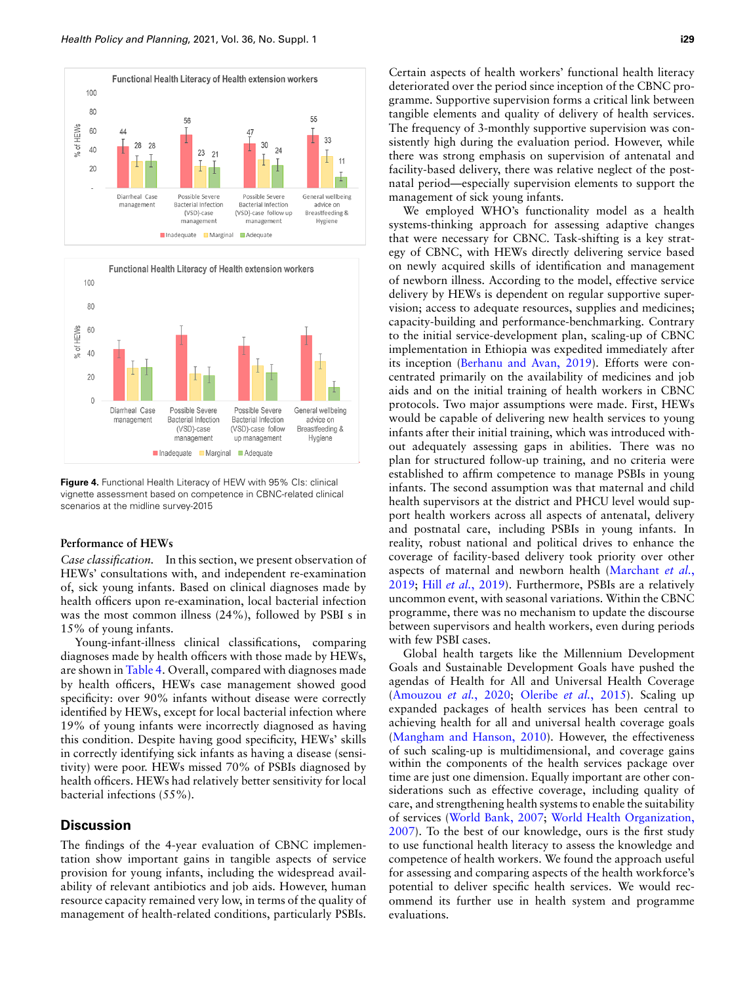<span id="page-7-0"></span>



**Figure 4.** Functional Health Literacy of HEW with 95% CIs: clinical vignette assessment based on competence in CBNC-related clinical scenarios at the midline survey-2015

#### **Performance of HEWs**

*Case classification.* In this section, we present observation of HEWs' consultations with, and independent re-examination of, sick young infants. Based on clinical diagnoses made by health officers upon re-examination, local bacterial infection was the most common illness (24%), followed by PSBI s in 15% of young infants.

Young-infant-illness clinical classifications, comparing diagnoses made by health officers with those made by HEWs, are shown in Table 4. Overall, compared with diagnoses made by health officers, HEWs case management showed good specificity: over 90% infants without disease were correctly identified by HEWs, except for local bacterial infection where 19% of young infants were incorrectly diagnosed as having this condition. Despite having good specificity, HEWs' skills in correctly identifying sick infants as having a disease (sensitivity) were poor. HEWs missed 70% of PSBIs diagnosed by health officers. HEWs had relatively better sensitivity for local bacterial infections (55%).

## **Discussion**

The findings of the 4-year evaluation of CBNC implementation show important gains in tangible aspects of service provision for young infants, including the widespread availability of relevant antibiotics and job aids. However, human resource capacity remained very low, in terms of the quality of management of health-related conditions, particularly PSBIs. Certain aspects of health workers' functional health literacy deteriorated over the period since inception of the CBNC programme. Supportive supervision forms a critical link between tangible elements and quality of delivery of health services. The frequency of 3-monthly supportive supervision was consistently high during the evaluation period. However, while there was strong emphasis on supervision of antenatal and facility-based delivery, there was relative neglect of the postnatal period—especially supervision elements to support the management of sick young infants.

We employed WHO's functionality model as a health systems-thinking approach for assessing adaptive changes that were necessary for CBNC. Task-shifting is a key strategy of CBNC, with HEWs directly delivering service based on newly acquired skills of identification and management of newborn illness. According to the model, effective service delivery by HEWs is dependent on regular supportive supervision; access to adequate resources, supplies and medicines; capacity-building and performance-benchmarking. Contrary to the initial service-development plan, scaling-up of CBNC implementati[on in Ethiopia was expedite](#page-9-10)d immediately after its inception (Berhanu and Avan, 2019). Efforts were concentrated primarily on the availability of medicines and job aids and on the initial training of health workers in CBNC protocols. Two major assumptions were made. First, HEWs would be capable of delivering new health services to young infants after their initial training, which was introduced without adequately assessing gaps in abilities. There was no plan for structured follow-up training, and no criteria were established to affirm competence to manage PSBIs in young infants. The second assumption was that maternal and child health supervisors at the district and PHCU level would support health workers across all aspects of antenatal, delivery and postnatal care, including PSBIs in young infants. In reality, robust national and political drives to enhance the coverage of facility-based delivery took pr[iority over other](#page-10-15) [aspec](#page-10-15)t[s of maternal an](#page-10-16)d newborn health (Marchant *et al.*, 2019; Hill *et al.*, 2019). Furthermore, PSBIs are a relatively uncommon event, with seasonal variations. Within the CBNC programme, there was no mechanism to update the discourse between supervisors and health workers, even during periods with few PSBI cases.

Global health targets like the Millennium Development Goals and Sustainable Development Goals have pushed the [agendas of Health for A](#page-9-11)[ll and Universal Hea](#page-10-17)lth Coverage (Amouzou *et al.*, 2020; Oleribe *et al.*, 2015). Scaling up expanded packages of health services has been central to [achieving health for all and un](#page-10-18)iversal health coverage goals (Mangham and Hanson, 2010). However, the effectiveness of such scaling-up is multidimensional, and coverage gains within the components of the health services package over time are just one dimension. Equally important are other considerations such as effective coverage, including quality of care, and st[rengthening health s](#page-10-19)y[stems to enable the suitability](#page-10-20) [of ser](#page-10-20)vices (World Bank, 2007; World Health Organization, 2007). To the best of our knowledge, ours is the first study to use functional health literacy to assess the knowledge and competence of health workers. We found the approach useful for assessing and comparing aspects of the health workforce's potential to deliver specific health services. We would recommend its further use in health system and programme evaluations.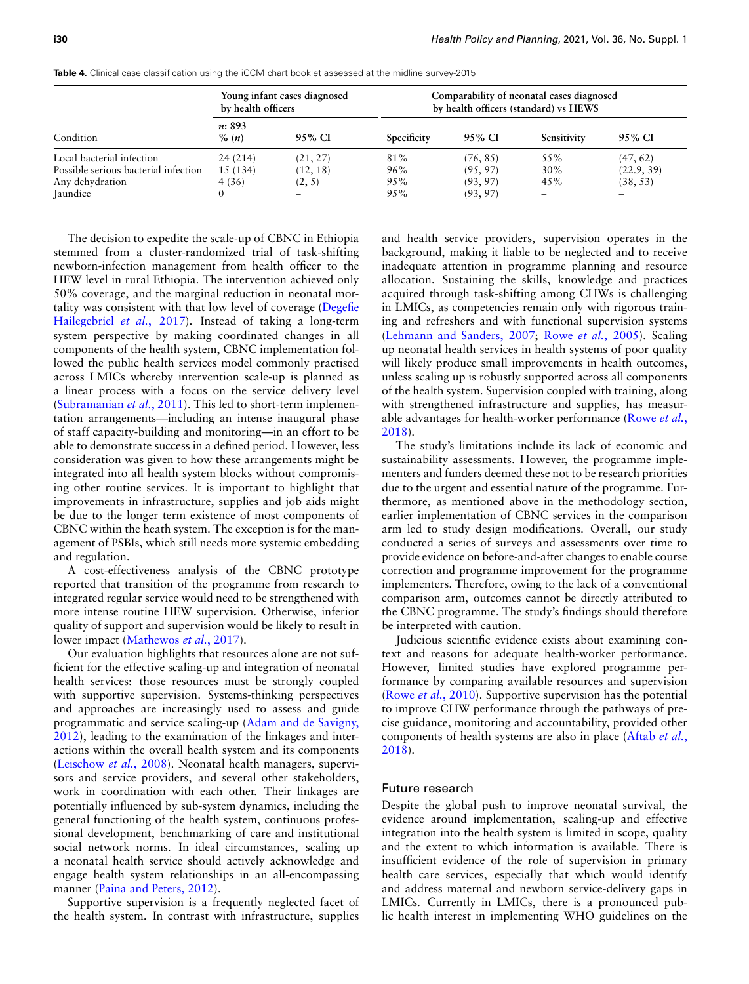|                                      | by health officers                  | Young infant cases diagnosed | Comparability of neonatal cases diagnosed<br>by health officers (standard) vs HEWS |          |             |            |  |  |
|--------------------------------------|-------------------------------------|------------------------------|------------------------------------------------------------------------------------|----------|-------------|------------|--|--|
| Condition                            | <i>n</i> : 893<br>$\%$ ( <i>n</i> ) | 95% CI                       | Specificity                                                                        | 95% CI   | Sensitivity | 95% CI     |  |  |
| Local bacterial infection            | 24 (214)                            | (21, 27)                     | 81%                                                                                | (76, 85) | 55%         | (47, 62)   |  |  |
| Possible serious bacterial infection | 15(134)                             | (12, 18)                     | 96%                                                                                | (95, 97) | 30%         | (22.9, 39) |  |  |
| Any dehydration                      | 4(36)                               | (2, 5)                       | 95%                                                                                | (93, 97) | 45%         | (38, 53)   |  |  |
| <b>Jaundice</b>                      |                                     | $\qquad \qquad -$            | 95%                                                                                | (93, 97) | -           | -          |  |  |

**Table 4.** Clinical case classification using the iCCM chart booklet assessed at the midline survey-2015

The decision to expedite the scale-up of CBNC in Ethiopia stemmed from a cluster-randomized trial of task-shifting newborn-infection management from health officer to the HEW level in rural Ethiopia. The intervention achieved only 50% coverage, and the marginal reduction in neona[tal mor](#page-9-12)[tality was consistent with](#page-9-12) that low level of coverage (Degefie Hailegebriel *et al.*, 2017). Instead of taking a long-term system perspective by making coordinated changes in all components of the health system, CBNC implementation followed the public health services model commonly practised across LMICs whereby intervention scale-up is planned as [a linear process with a f](#page-10-21)ocus on the service delivery level (Subramanian *et al.*, 2011). This led to short-term implementation arrangements—including an intense inaugural phase of staff capacity-building and monitoring—in an effort to be able to demonstrate success in a defined period. However, less consideration was given to how these arrangements might be integrated into all health system blocks without compromising other routine services. It is important to highlight that improvements in infrastructure, supplies and job aids might be due to the longer term existence of most components of CBNC within the heath system. The exception is for the management of PSBIs, which still needs more systemic embedding and regulation.

A cost-effectiveness analysis of the CBNC prototype reported that transition of the programme from research to integrated regular service would need to be strengthened with more intense routine HEW supervision. Otherwise, inferior quality of sup[port and supervision wo](#page-10-22)uld be likely to result in lower impact (Mathewos *et al.*, 2017).

Our evaluation highlights that resources alone are not sufficient for the effective scaling-up and integration of neonatal health services: those resources must be strongly coupled with supportive supervision. Systems-thinking perspectives and approaches are increasingly use[d to assess and guide](#page-9-13) [progr](#page-9-13)ammatic and service scaling-up (Adam and de Savigny, 2012), leading to the examination of the linkages and inter[actions within the over](#page-10-23)all health system and its components (Leischow *et al.*, 2008). Neonatal health managers, supervisors and service providers, and several other stakeholders, work in coordination with each other. Their linkages are potentially influenced by sub-system dynamics, including the general functioning of the health system, continuous professional development, benchmarking of care and institutional social network norms. In ideal circumstances, scaling up a neonatal health service should actively acknowledge and engage [health system relationsh](#page-10-24)ips in an all-encompassing manner (Paina and Peters, 2012).

Supportive supervision is a frequently neglected facet of the health system. In contrast with infrastructure, supplies

and health service providers, supervision operates in the background, making it liable to be neglected and to receive inadequate attention in programme planning and resource allocation. Sustaining the skills, knowledge and practices acquired through task-shifting among CHWs is challenging in LMICs, as competencies remain only with rigorous traini[ng and refreshers and with f](#page-10-25)u[nctional supervision](#page-10-26) systems (Lehmann and Sanders, 2007; Rowe *et al.*, 2005). Scaling up neonatal health services in health systems of poor quality will likely produce small improvements in health outcomes, unless scaling up is robustly supported across all components of the health system. Supervision coupled with training, along with strengthened infrastructure and supplies, [has measur](#page-10-27)[able a](#page-10-27)dvantages for health-worker performance (Rowe *et al.*, 2018).

The study's limitations include its lack of economic and sustainability assessments. However, the programme implementers and funders deemed these not to be research priorities due to the urgent and essential nature of the programme. Furthermore, as mentioned above in the methodology section, earlier implementation of CBNC services in the comparison arm led to study design modifications. Overall, our study conducted a series of surveys and assessments over time to provide evidence on before-and-after changes to enable course correction and programme improvement for the programme implementers. Therefore, owing to the lack of a conventional comparison arm, outcomes cannot be directly attributed to the CBNC programme. The study's findings should therefore be interpreted with caution.

Judicious scientific evidence exists about examining context and reasons for adequate health-worker performance. However, limited studies have explored programme perf[ormance by comp](#page-10-28)aring available resources and supervision (Rowe *et al.*, 2010). Supportive supervision has the potential to improve CHW performance through the pathways of precise guidance, monitoring and accountability, pr[ovided other](#page-9-14) [comp](#page-9-14)onents of health systems are also in place (Aftab *et al.*, 2018).

#### Future research

Despite the global push to improve neonatal survival, the evidence around implementation, scaling-up and effective integration into the health system is limited in scope, quality and the extent to which information is available. There is insufficient evidence of the role of supervision in primary health care services, especially that which would identify and address maternal and newborn service-delivery gaps in LMICs. Currently in LMICs, there is a pronounced public health interest in implementing WHO guidelines on the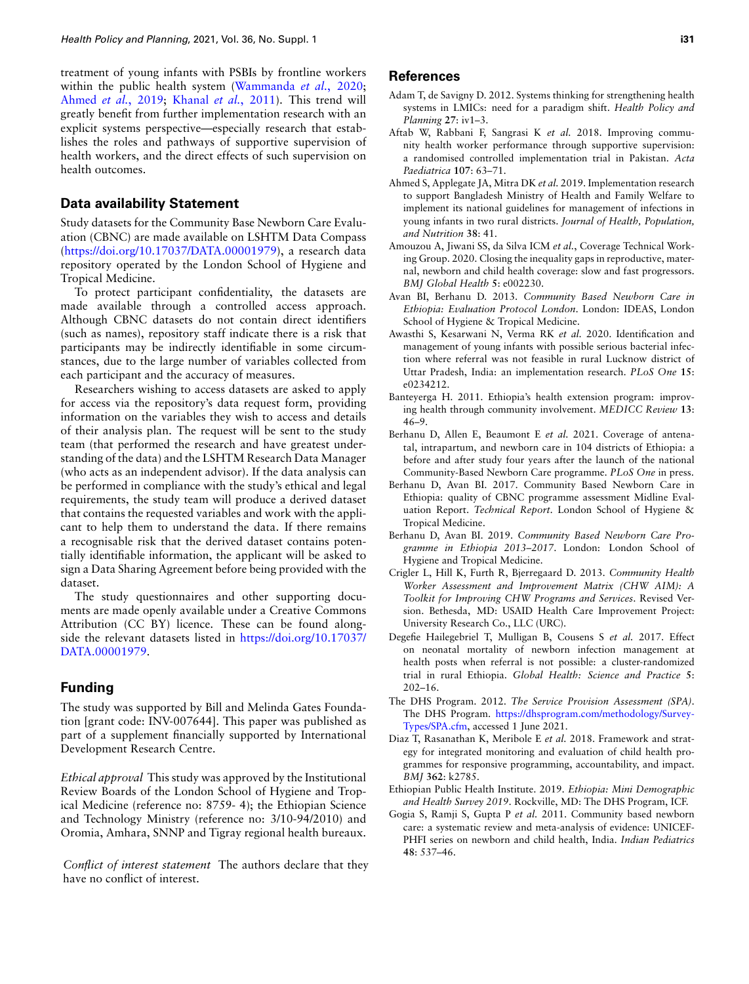treatment of young infants with [PSBIs by frontline workers](#page-10-8) [within the public he](#page-9-15)[alth system \(Wamma](#page-10-6)nda *et al.*, 2020; Ahmed *et al.*, 2019; Khanal *et al.*, 2011). This trend will greatly benefit from further implementation research with an explicit systems perspective—especially research that establishes the roles and pathways of supportive supervision of health workers, and the direct effects of such supervision on health outcomes.

## **Data availability Statement**

Study datasets for the Community Base Newborn Care Evaluation (CBNC) are made available on LSHTM Data Compass (https://doi.org/10.17037/DATA.00001979), a research data repository operated by the London School of Hygiene and Tropical Medicine.

To protect participant confidentiality, the datasets are [made available through a controlled a](https://doi.org/10.17037/DATA.00001979)ccess approach. Although CBNC datasets do not contain direct identifiers (such as names), repository staff indicate there is a risk that participants may be indirectly identifiable in some circumstances, due to the large number of variables collected from each participant and the accuracy of measures.

Researchers wishing to access datasets are asked to apply for access via the repository's data request form, providing information on the variables they wish to access and details of their analysis plan. The request will be sent to the study team (that performed the research and have greatest understanding of the data) and the LSHTM Research Data Manager (who acts as an independent advisor). If the data analysis can be performed in compliance with the study's ethical and legal requirements, the study team will produce a derived dataset that contains the requested variables and work with the applicant to help them to understand the data. If there remains a recognisable risk that the derived dataset contains potentially identifiable information, the applicant will be asked to sign a Data Sharing Agreement before being provided with the dataset.

The study questionnaires and other supporting documents are made openly available under a Creative Commons Attribution (CC BY) licence. These can be found alongside the relevant datasets listed in https://doi.org/10.17037/ DATA.00001979.

## **Funding**

[The study was su](https://doi.org/10.17037/DATA.00001979)pported by Bill an[d Melinda Gates Founda](https://doi.org/10.17037/DATA.00001979)tion [grant code: INV-007644]. This paper was published as part of a supplement financially supported by International Development Research Centre.

*Ethical approval* This study was approved by the Institutional Review Boards of the London School of Hygiene and Tropical Medicine (reference no: 8759- 4); the Ethiopian Science and Technology Ministry (reference no: 3/10-94/2010) and Oromia, Amhara, SNNP and Tigray regional health bureaux.

*Conflict of interest statement* The authors declare that they have no conflict of interest.

## **References**

- Adam T, de Savigny D. 2012. Systems thinking for strengthening health systems in LMICs: need for a paradigm shift. *Health Policy and Planning* **27**: iv1–3.
- <span id="page-9-13"></span>Aftab W, Rabbani F, Sangrasi K *et al.* 2018. Improving community health worker performance through supportive supervision: a randomised controlled implementation trial in Pakistan. *Acta Paediatrica* **107**: 63–71.
- <span id="page-9-14"></span>Ahmed S, Applegate JA, Mitra DK *et al.* 2019. Implementation research to support Bangladesh Ministry of Health and Family Welfare to implement its national guidelines for management of infections in young infants in two rural districts. *Journal of Health, Population, and Nutrition* **38**: 41.
- <span id="page-9-15"></span>Amouzou A, Jiwani SS, da Silva ICM *et al.*, Coverage Technical Working Group. 2020. Closing the inequality gaps in reproductive, maternal, newborn and child health coverage: slow and fast progressors. *BMJ Global Health* **5**: e002230.
- <span id="page-9-11"></span>Avan BI, Berhanu D. 2013. *Community Based Newborn Care in Ethiopia: Evaluation Protocol London*. London: IDEAS, London School of Hygiene & Tropical Medicine.
- <span id="page-9-7"></span>Awasthi S, Kesarwani N, Verma RK *et al.* 2020. Identification and management of young infants with possible serious bacterial infection where referral was not feasible in rural Lucknow district of Uttar Pradesh, India: an implementation research. *PLoS One* **15**: e0234212.
- <span id="page-9-1"></span>Banteyerga H. 2011. Ethiopia's health extension program: improving health through community involvement. *MEDICC Review* **13**: 46–9.
- <span id="page-9-3"></span>Berhanu D, Allen E, Beaumont E *et al.* 2021. Coverage of antenatal, intrapartum, and newborn care in 104 districts of Ethiopia: a before and after study four years after the launch of the national Community-Based Newborn Care programme. *PLoS One* in press.
- <span id="page-9-4"></span>Berhanu D, Avan BI. 2017. Community Based Newborn Care in Ethiopia: quality of CBNC programme assessment Midline Evaluation Report. *Technical Report*. London School of Hygiene & Tropical Medicine.
- <span id="page-9-8"></span>Berhanu D, Avan BI. 2019. *Community Based Newborn Care Programme in Ethiopia 2013–2017*. London: London School of Hygiene and Tropical Medicine.
- <span id="page-9-10"></span>Crigler L, Hill K, Furth R, Bjerregaard D. 2013. *Community Health Worker Assessment and Improvement Matrix (CHW AIM): A Toolkit for Improving CHW Programs and Services*. Revised Version. Bethesda, MD: USAID Health Care Improvement Project: University Research Co., LLC (URC).
- <span id="page-9-6"></span>Degefie Hailegebriel T, Mulligan B, Cousens S *et al.* 2017. Effect on neonatal mortality of newborn infection management at health posts when referral is not possible: a cluster-randomized trial in rural Ethiopia. *Global Health: Science and Practice* **5**: 202–16.
- <span id="page-9-12"></span>The DHS Program. 2012. *The Service Provision Assessment (SPA)*. The DHS Program. https://dhsprogram.com/methodology/Survey-Types/SPA.cfm, accessed 1 June 2021.
- <span id="page-9-9"></span>Diaz T, Rasanathan K, Meribole E *et al.* 2018. Framework and strategy for integrated monitoring and evaluation of child health programmes for respons[ive programming, accountability, and impact.](https://dhsprogram.com/methodology/Survey-Types/SPA.cfm) *BMJ* **362**[: k278](https://dhsprogram.com/methodology/Survey-Types/SPA.cfm)5.
- <span id="page-9-5"></span>Ethiopian Public Health Institute. 2019. *Ethiopia: Mini Demographic and Health Survey 2019*. Rockville, MD: The DHS Program, ICF.
- <span id="page-9-2"></span><span id="page-9-0"></span>Gogia S, Ramji S, Gupta P *et al.* 2011. Community based newborn care: a systematic review and meta-analysis of evidence: UNICEF-PHFI series on newborn and child health, India. *Indian Pediatrics* **48**: 537–46.